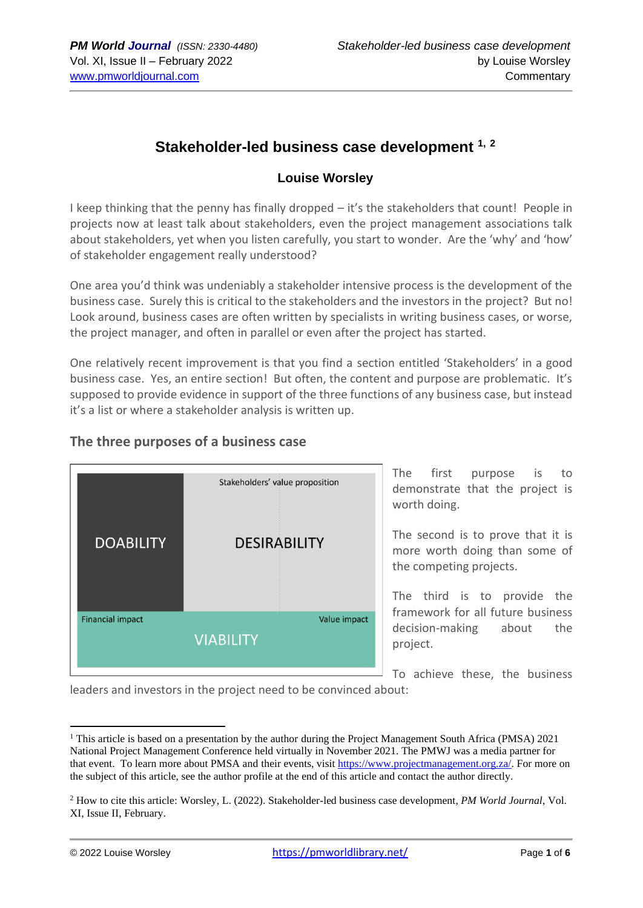# **Stakeholder-led business case development 1, <sup>2</sup>**

#### **Louise Worsley**

I keep thinking that the penny has finally dropped – it's the stakeholders that count! People in projects now at least talk about stakeholders, even the project management associations talk about stakeholders, yet when you listen carefully, you start to wonder. Are the 'why' and 'how' of stakeholder engagement really understood?

One area you'd think was undeniably a stakeholder intensive process is the development of the business case. Surely this is critical to the stakeholders and the investors in the project? But no! Look around, business cases are often written by specialists in writing business cases, or worse, the project manager, and often in parallel or even after the project has started.

One relatively recent improvement is that you find a section entitled 'Stakeholders' in a good business case. Yes, an entire section! But often, the content and purpose are problematic. It's supposed to provide evidence in support of the three functions of any business case, but instead it's a list or where a stakeholder analysis is written up.

#### **The three purposes of a business case**



The first purpose is to demonstrate that the project is worth doing.

The second is to prove that it is more worth doing than some of the competing projects.

The third is to provide the framework for all future business decision-making about the project.

To achieve these, the business

leaders and investors in the project need to be convinced about:

<sup>&</sup>lt;sup>1</sup> This article is based on a presentation by the author during the Project Management South Africa (PMSA)  $2021$ National Project Management Conference held virtually in November 2021. The PMWJ was a media partner for that event. To learn more about PMSA and their events, visit [https://www.projectmanagement.org.za/.](https://www.projectmanagement.org.za/) For more on the subject of this article, see the author profile at the end of this article and contact the author directly.

<sup>2</sup> How to cite this article: Worsley, L. (2022). Stakeholder-led business case development, *PM World Journal*, Vol. XI, Issue II, February.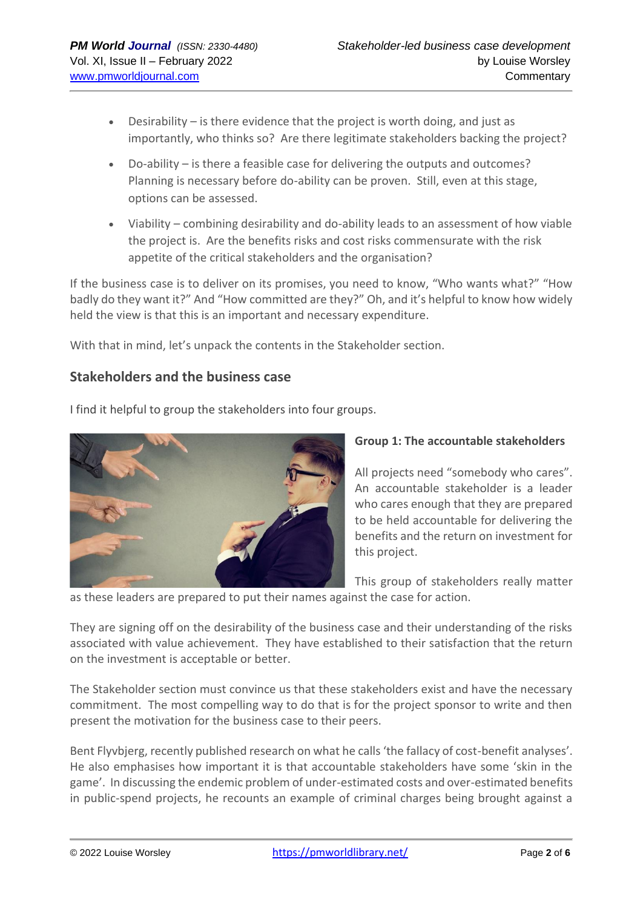- Desirability is there evidence that the project is worth doing, and just as importantly, who thinks so? Are there legitimate stakeholders backing the project?
- Do-ability is there a feasible case for delivering the outputs and outcomes? Planning is necessary before do-ability can be proven. Still, even at this stage, options can be assessed.
- Viability combining desirability and do-ability leads to an assessment of how viable the project is. Are the benefits risks and cost risks commensurate with the risk appetite of the critical stakeholders and the organisation?

If the business case is to deliver on its promises, you need to know, "Who wants what?" "How badly do they want it?" And "How committed are they?" Oh, and it's helpful to know how widely held the view is that this is an important and necessary expenditure.

With that in mind, let's unpack the contents in the Stakeholder section.

## **Stakeholders and the business case**



I find it helpful to group the stakeholders into four groups.

#### **Group 1: The accountable stakeholders**

All projects need "somebody who cares". An accountable stakeholder is a leader who cares enough that they are prepared to be held accountable for delivering the benefits and the return on investment for this project.

This group of stakeholders really matter

as these leaders are prepared to put their names against the case for action.

They are signing off on the desirability of the business case and their understanding of the risks associated with value achievement. They have established to their satisfaction that the return on the investment is acceptable or better.

The Stakeholder section must convince us that these stakeholders exist and have the necessary commitment. The most compelling way to do that is for the project sponsor to write and then present the motivation for the business case to their peers.

Bent Flyvbjerg, recently published research on what he calls 'the fallacy of cost-benefit analyses'. He also emphasises how important it is that accountable stakeholders have some 'skin in the game'. In discussing the endemic problem of under-estimated costs and over-estimated benefits in public-spend projects, he recounts an example of criminal charges being brought against a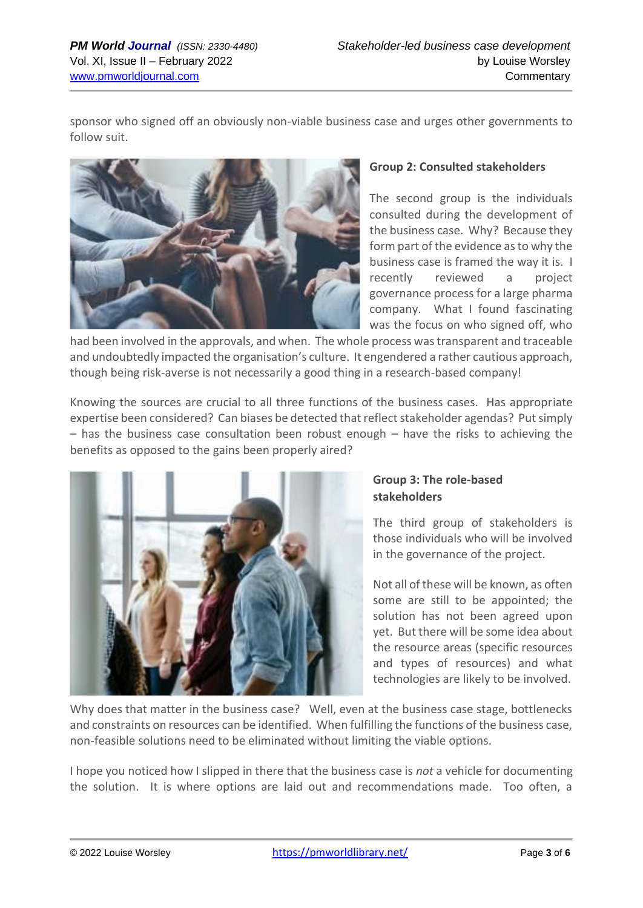sponsor who signed off an obviously non-viable business case and urges other governments to follow suit.



#### **Group 2: Consulted stakeholders**

The second group is the individuals consulted during the development of the business case. Why? Because they form part of the evidence as to why the business case is framed the way it is. I recently reviewed a project governance process for a large pharma company. What I found fascinating was the focus on who signed off, who

had been involved in the approvals, and when. The whole process was transparent and traceable and undoubtedly impacted the organisation's culture. It engendered a rather cautious approach, though being risk-averse is not necessarily a good thing in a research-based company!

Knowing the sources are crucial to all three functions of the business cases. Has appropriate expertise been considered? Can biases be detected that reflect stakeholder agendas? Put simply – has the business case consultation been robust enough – have the risks to achieving the benefits as opposed to the gains been properly aired?



### **Group 3: The role-based stakeholders**

The third group of stakeholders is those individuals who will be involved in the governance of the project.

Not all of these will be known, as often some are still to be appointed; the solution has not been agreed upon yet. But there will be some idea about the resource areas (specific resources and types of resources) and what technologies are likely to be involved.

Why does that matter in the business case? Well, even at the business case stage, bottlenecks and constraints on resources can be identified. When fulfilling the functions of the business case, non-feasible solutions need to be eliminated without limiting the viable options.

I hope you noticed how I slipped in there that the business case is *not* a vehicle for documenting the solution. It is where options are laid out and recommendations made. Too often, a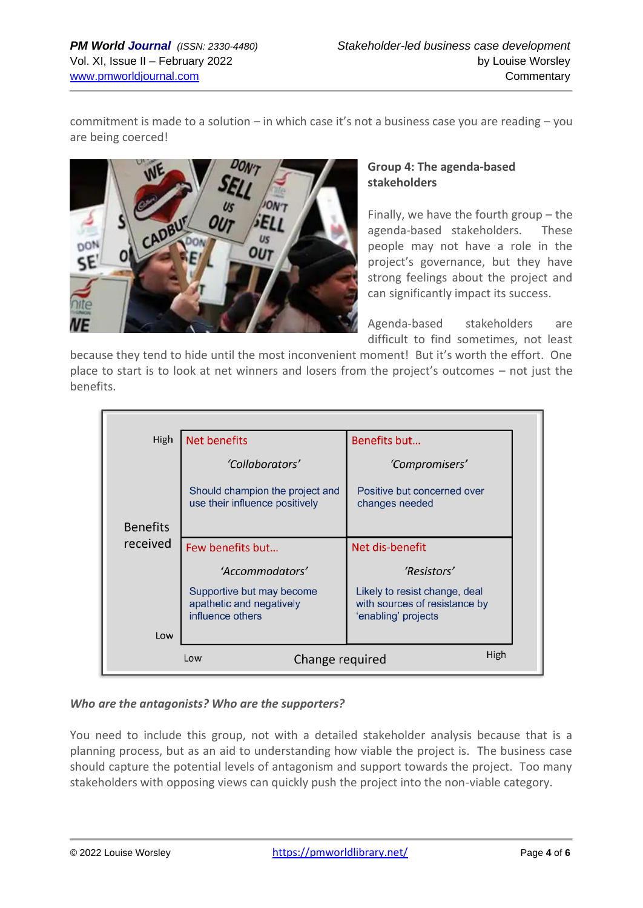commitment is made to a solution – in which case it's not a business case you are reading – you are being coerced!



### **Group 4: The agenda-based stakeholders**

Finally, we have the fourth group – the agenda-based stakeholders. These people may not have a role in the project's governance, but they have strong feelings about the project and can significantly impact its success.

Agenda-based stakeholders are difficult to find sometimes, not least

because they tend to hide until the most inconvenient moment! But it's worth the effort. One place to start is to look at net winners and losers from the project's outcomes – not just the benefits.

| High                           | <b>Net benefits</b>                                                       | Benefits but                                                                          |
|--------------------------------|---------------------------------------------------------------------------|---------------------------------------------------------------------------------------|
|                                | 'Collaborators'                                                           | 'Compromisers'                                                                        |
|                                | Should champion the project and<br>use their influence positively         | Positive but concerned over<br>changes needed                                         |
| <b>Benefits</b>                |                                                                           |                                                                                       |
| received                       | Few benefits but                                                          | Net dis-benefit                                                                       |
|                                | 'Accommodators'                                                           | 'Resistors'                                                                           |
|                                | Supportive but may become<br>apathetic and negatively<br>influence others | Likely to resist change, deal<br>with sources of resistance by<br>'enabling' projects |
| Low                            |                                                                           |                                                                                       |
| High<br>Change required<br>Low |                                                                           |                                                                                       |

### *Who are the antagonists? Who are the supporters?*

You need to include this group, not with a detailed stakeholder analysis because that is a planning process, but as an aid to understanding how viable the project is. The business case should capture the potential levels of antagonism and support towards the project. Too many stakeholders with opposing views can quickly push the project into the non-viable category.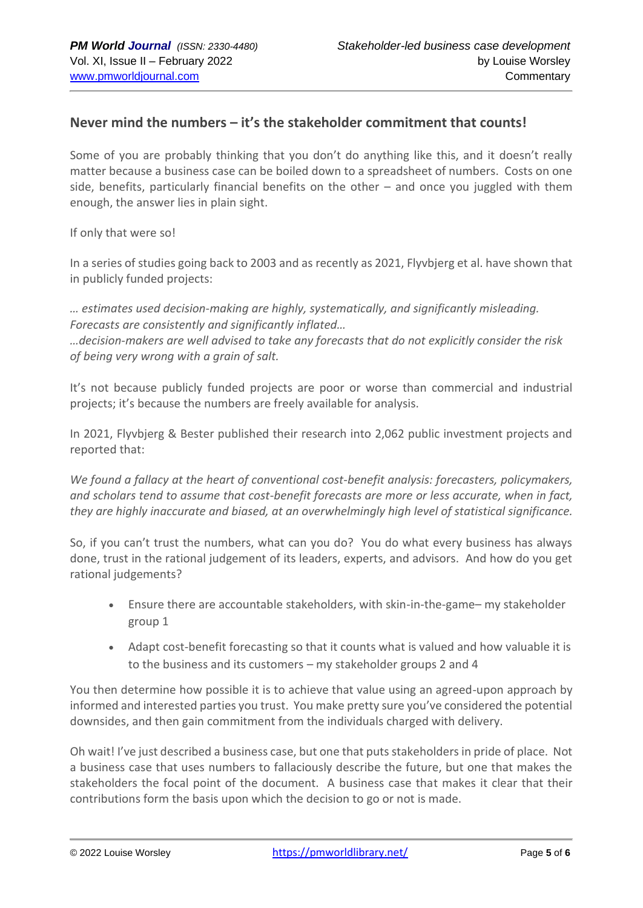### **Never mind the numbers – it's the stakeholder commitment that counts!**

Some of you are probably thinking that you don't do anything like this, and it doesn't really matter because a business case can be boiled down to a spreadsheet of numbers. Costs on one side, benefits, particularly financial benefits on the other – and once you juggled with them enough, the answer lies in plain sight.

If only that were so!

In a series of studies going back to 2003 and as recently as 2021, Flyvbjerg et al. have shown that in publicly funded projects:

*… estimates used decision-making are highly, systematically, and significantly misleading. Forecasts are consistently and significantly inflated…*

*…decision-makers are well advised to take any forecasts that do not explicitly consider the risk of being very wrong with a grain of salt.* 

It's not because publicly funded projects are poor or worse than commercial and industrial projects; it's because the numbers are freely available for analysis.

In 2021, Flyvbjerg & Bester published their research into 2,062 public investment projects and reported that:

*We found a fallacy at the heart of conventional cost-benefit analysis: forecasters, policymakers, and scholars tend to assume that cost-benefit forecasts are more or less accurate, when in fact, they are highly inaccurate and biased, at an overwhelmingly high level of statistical significance.*

So, if you can't trust the numbers, what can you do? You do what every business has always done, trust in the rational judgement of its leaders, experts, and advisors. And how do you get rational judgements?

- Ensure there are accountable stakeholders, with skin-in-the-game– my stakeholder group 1
- Adapt cost-benefit forecasting so that it counts what is valued and how valuable it is to the business and its customers – my stakeholder groups 2 and 4

You then determine how possible it is to achieve that value using an agreed-upon approach by informed and interested parties you trust. You make pretty sure you've considered the potential downsides, and then gain commitment from the individuals charged with delivery.

Oh wait! I've just described a business case, but one that puts stakeholders in pride of place. Not a business case that uses numbers to fallaciously describe the future, but one that makes the stakeholders the focal point of the document. A business case that makes it clear that their contributions form the basis upon which the decision to go or not is made.